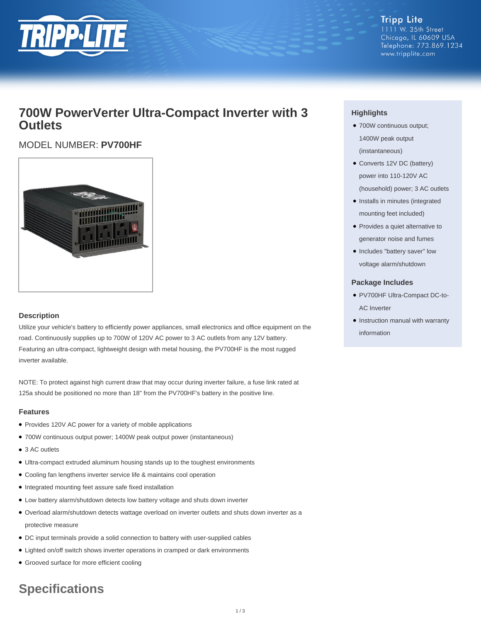

**Tripp Lite** 1111 W. 35th Street Chicago, IL 60609 USA Telephone: 773.869.1234 www.tripplite.com

# **700W PowerVerter Ultra-Compact Inverter with 3 Outlets**

## MODEL NUMBER: **PV700HF**



#### **Description**

Utilize your vehicle's battery to efficiently power appliances, small electronics and office equipment on the road. Continuously supplies up to 700W of 120V AC power to 3 AC outlets from any 12V battery. Featuring an ultra-compact, lightweight design with metal housing, the PV700HF is the most rugged inverter available.

NOTE: To protect against high current draw that may occur during inverter failure, a fuse link rated at 125a should be positioned no more than 18" from the PV700HF's battery in the positive line.

#### **Features**

- Provides 120V AC power for a variety of mobile applications
- 700W continuous output power; 1400W peak output power (instantaneous)
- 3 AC outlets
- Ultra-compact extruded aluminum housing stands up to the toughest environments
- Cooling fan lengthens inverter service life & maintains cool operation
- Integrated mounting feet assure safe fixed installation
- Low battery alarm/shutdown detects low battery voltage and shuts down inverter
- Overload alarm/shutdown detects wattage overload on inverter outlets and shuts down inverter as a protective measure
- DC input terminals provide a solid connection to battery with user-supplied cables
- Lighted on/off switch shows inverter operations in cramped or dark environments
- Grooved surface for more efficient cooling

# **Specifications**

### **Highlights**

- 700W continuous output; 1400W peak output (instantaneous)
- Converts 12V DC (battery) power into 110-120V AC (household) power; 3 AC outlets
- Installs in minutes (integrated mounting feet included)
- Provides a quiet alternative to generator noise and fumes
- Includes "battery saver" low voltage alarm/shutdown

#### **Package Includes**

- PV700HF Ultra-Compact DC-to-AC Inverter
- Instruction manual with warranty information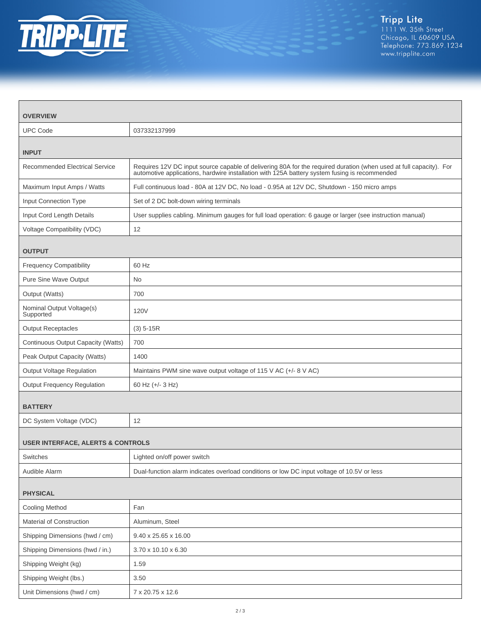

| <b>OVERVIEW</b>                              |                                                                                                                                                                                                                     |  |
|----------------------------------------------|---------------------------------------------------------------------------------------------------------------------------------------------------------------------------------------------------------------------|--|
| <b>UPC Code</b>                              | 037332137999                                                                                                                                                                                                        |  |
| <b>INPUT</b>                                 |                                                                                                                                                                                                                     |  |
| <b>Recommended Electrical Service</b>        | Requires 12V DC input source capable of delivering 80A for the required duration (when used at full capacity). For<br>automotive applications, hardwire installation with 125A battery system fusing is recommended |  |
| Maximum Input Amps / Watts                   | Full continuous load - 80A at 12V DC, No load - 0.95A at 12V DC, Shutdown - 150 micro amps                                                                                                                          |  |
| Input Connection Type                        | Set of 2 DC bolt-down wiring terminals                                                                                                                                                                              |  |
| Input Cord Length Details                    | User supplies cabling. Minimum gauges for full load operation: 6 gauge or larger (see instruction manual)                                                                                                           |  |
| Voltage Compatibility (VDC)                  | 12                                                                                                                                                                                                                  |  |
| <b>OUTPUT</b>                                |                                                                                                                                                                                                                     |  |
| <b>Frequency Compatibility</b>               | 60 Hz                                                                                                                                                                                                               |  |
| Pure Sine Wave Output                        | No.                                                                                                                                                                                                                 |  |
| Output (Watts)                               | 700                                                                                                                                                                                                                 |  |
| Nominal Output Voltage(s)<br>Supported       | <b>120V</b>                                                                                                                                                                                                         |  |
| <b>Output Receptacles</b>                    | $(3)$ 5-15R                                                                                                                                                                                                         |  |
| Continuous Output Capacity (Watts)           | 700                                                                                                                                                                                                                 |  |
| Peak Output Capacity (Watts)                 | 1400                                                                                                                                                                                                                |  |
| Output Voltage Regulation                    | Maintains PWM sine wave output voltage of 115 V AC (+/- 8 V AC)                                                                                                                                                     |  |
| Output Frequency Regulation                  | 60 Hz (+/- 3 Hz)                                                                                                                                                                                                    |  |
| <b>BATTERY</b>                               |                                                                                                                                                                                                                     |  |
| DC System Voltage (VDC)                      | 12                                                                                                                                                                                                                  |  |
| <b>USER INTERFACE, ALERTS &amp; CONTROLS</b> |                                                                                                                                                                                                                     |  |
| Switches                                     | Lighted on/off power switch                                                                                                                                                                                         |  |
| Audible Alarm                                | Dual-function alarm indicates overload conditions or low DC input voltage of 10.5V or less                                                                                                                          |  |
| <b>PHYSICAL</b>                              |                                                                                                                                                                                                                     |  |
| <b>Cooling Method</b>                        | Fan                                                                                                                                                                                                                 |  |
| Material of Construction                     | Aluminum, Steel                                                                                                                                                                                                     |  |
| Shipping Dimensions (hwd / cm)               | 9.40 x 25.65 x 16.00                                                                                                                                                                                                |  |
| Shipping Dimensions (hwd / in.)              | 3.70 x 10.10 x 6.30                                                                                                                                                                                                 |  |
| Shipping Weight (kg)                         | 1.59                                                                                                                                                                                                                |  |
| Shipping Weight (lbs.)                       | 3.50                                                                                                                                                                                                                |  |
| Unit Dimensions (hwd / cm)                   | 7 x 20.75 x 12.6                                                                                                                                                                                                    |  |